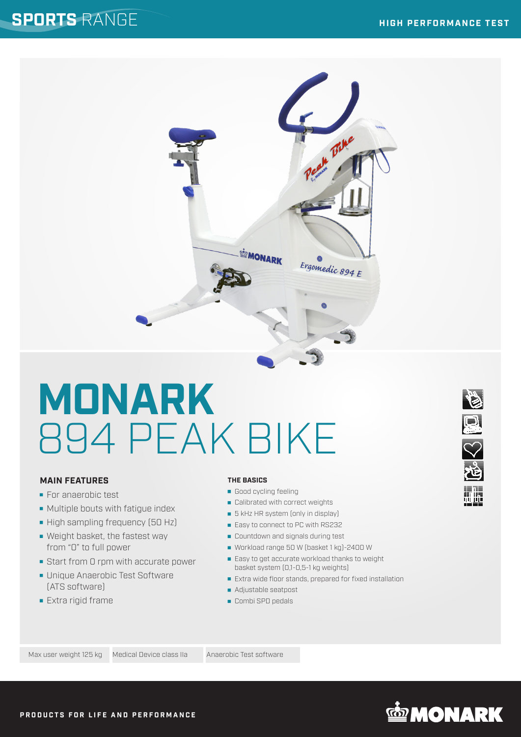

# **MAIN FEATURES**

- **For anaerobic test**
- **Multiple bouts with fatigue index**
- High sampling frequency (50 Hz)
- Weight basket, the fastest way from "0" to full power
- Start from 0 rpm with accurate power
- **Unique Anaerobic Test Software** (ATS software)
- **Extra rigid frame**

### **THE BASICS**

Good cycling feeling

**MONARK** 

Ergomedic 894 E

- Calibrated with correct weights
- **5** kHz HR system (only in display)
- Easy to connect to PC with RS232
- **Countdown and signals during test**
- Workload range 50 W (basket 1 kg)-2400 W
- **Easy to get accurate workload thanks to weight** basket system (0,1-0,5-1 kg weights)
- Extra wide floor stands, prepared for fixed installation
- Adjustable seatpost
- Combi SPD pedals





**NASSE**